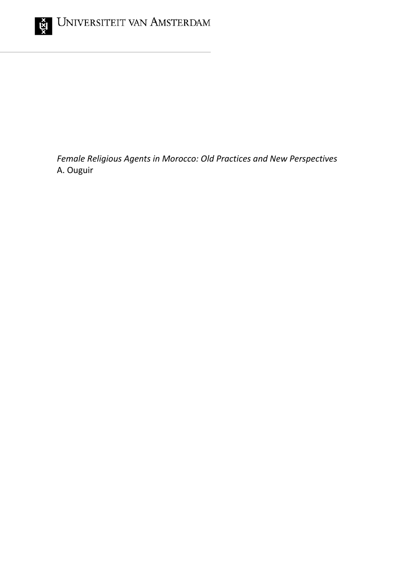

*Female Religious Agents in Morocco: Old Practices and New Perspectives* A. Ouguir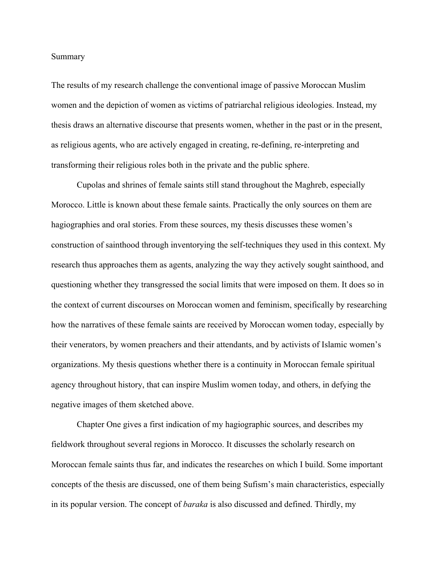## Summary

The results of my research challenge the conventional image of passive Moroccan Muslim women and the depiction of women as victims of patriarchal religious ideologies. Instead, my thesis draws an alternative discourse that presents women, whether in the past or in the present, as religious agents, who are actively engaged in creating, re-defining, re-interpreting and transforming their religious roles both in the private and the public sphere.

Cupolas and shrines of female saints still stand throughout the Maghreb, especially Morocco. Little is known about these female saints. Practically the only sources on them are hagiographies and oral stories. From these sources, my thesis discusses these women's construction of sainthood through inventorying the self-techniques they used in this context. My research thus approaches them as agents, analyzing the way they actively sought sainthood, and questioning whether they transgressed the social limits that were imposed on them. It does so in the context of current discourses on Moroccan women and feminism, specifically by researching how the narratives of these female saints are received by Moroccan women today, especially by their venerators, by women preachers and their attendants, and by activists of Islamic women's organizations. My thesis questions whether there is a continuity in Moroccan female spiritual agency throughout history, that can inspire Muslim women today, and others, in defying the negative images of them sketched above.

Chapter One gives a first indication of my hagiographic sources, and describes my fieldwork throughout several regions in Morocco. It discusses the scholarly research on Moroccan female saints thus far, and indicates the researches on which I build. Some important concepts of the thesis are discussed, one of them being Sufism's main characteristics, especially in its popular version. The concept of *baraka* is also discussed and defined. Thirdly, my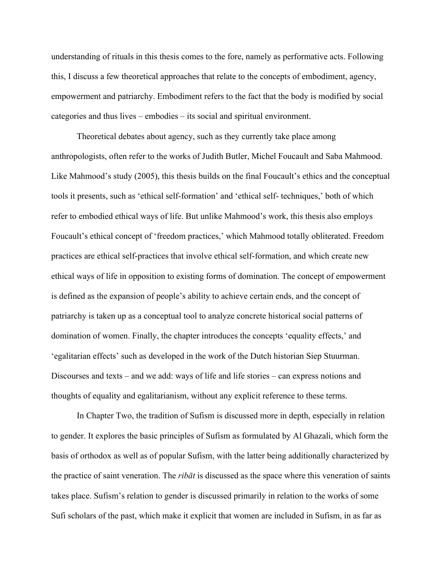understanding of rituals in this thesis comes to the fore, namely as performative acts. Following this, I discuss a few theoretical approaches that relate to the concepts of embodiment, agency, empowerment and patriarchy. Embodiment refers to the fact that the body is modified by social categories and thus lives – embodies – its social and spiritual environment.

Theoretical debates about agency, such as they currently take place among anthropologists, often refer to the works of Judith Butler, Michel Foucault and Saba Mahmood. Like Mahmood's study (2005), this thesis builds on the final Foucault's ethics and the conceptual tools it presents, such as 'ethical self-formation' and 'ethical self- techniques,' both of which refer to embodied ethical ways of life. But unlike Mahmood's work, this thesis also employs Foucault's ethical concept of 'freedom practices,' which Mahmood totally obliterated. Freedom practices are ethical self-practices that involve ethical self-formation, and which create new ethical ways of life in opposition to existing forms of domination. The concept of empowerment is defined as the expansion of people's ability to achieve certain ends, and the concept of patriarchy is taken up as a conceptual tool to analyze concrete historical social patterns of domination of women. Finally, the chapter introduces the concepts 'equality effects,' and 'egalitarian effects' such as developed in the work of the Dutch historian Siep Stuurman. Discourses and texts – and we add: ways of life and life stories – can express notions and thoughts of equality and egalitarianism, without any explicit reference to these terms.

In Chapter Two, the tradition of Sufism is discussed more in depth, especially in relation to gender. It explores the basic principles of Sufism as formulated by Al Ghazali, which form the basis of orthodox as well as of popular Sufism, with the latter being additionally characterized by the practice of saint veneration. The *ribāt* is discussed as the space where this veneration of saints takes place. Sufism's relation to gender is discussed primarily in relation to the works of some Sufi scholars of the past, which make it explicit that women are included in Sufism, in as far as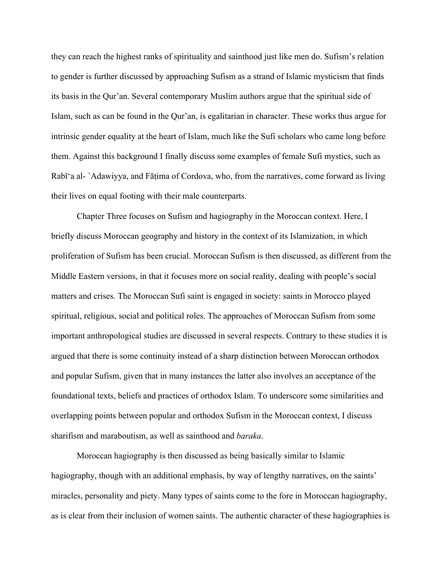they can reach the highest ranks of spirituality and sainthood just like men do. Sufism's relation to gender is further discussed by approaching Sufism as a strand of Islamic mysticism that finds its basis in the Qur'an. Several contemporary Muslim authors argue that the spiritual side of Islam, such as can be found in the Qur'an, is egalitarian in character. These works thus argue for intrinsic gender equality at the heart of Islam, much like the Sufi scholars who came long before them. Against this background I finally discuss some examples of female Sufi mystics, such as Rabī'a al- `Adawiyya, and Fāṭima of Cordova, who, from the narratives, come forward as living their lives on equal footing with their male counterparts.

Chapter Three focuses on Sufism and hagiography in the Moroccan context. Here, I briefly discuss Moroccan geography and history in the context of its Islamization, in which proliferation of Sufism has been crucial. Moroccan Sufism is then discussed, as different from the Middle Eastern versions, in that it focuses more on social reality, dealing with people's social matters and crises. The Moroccan Sufi saint is engaged in society: saints in Morocco played spiritual, religious, social and political roles. The approaches of Moroccan Sufism from some important anthropological studies are discussed in several respects. Contrary to these studies it is argued that there is some continuity instead of a sharp distinction between Moroccan orthodox and popular Sufism, given that in many instances the latter also involves an acceptance of the foundational texts, beliefs and practices of orthodox Islam. To underscore some similarities and overlapping points between popular and orthodox Sufism in the Moroccan context, I discuss sharifism and maraboutism, as well as sainthood and *baraka*.

Moroccan hagiography is then discussed as being basically similar to Islamic hagiography, though with an additional emphasis, by way of lengthy narratives, on the saints' miracles, personality and piety. Many types of saints come to the fore in Moroccan hagiography, as is clear from their inclusion of women saints. The authentic character of these hagiographies is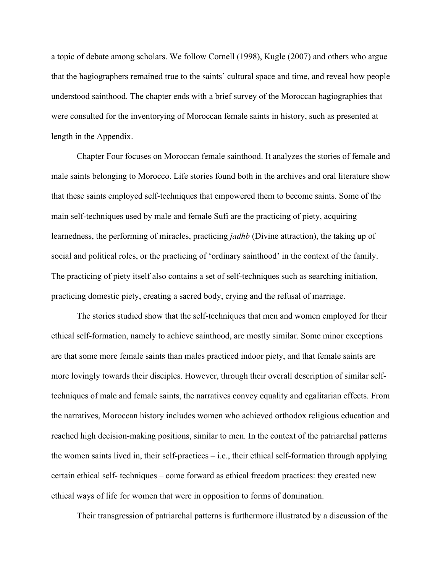a topic of debate among scholars. We follow Cornell (1998), Kugle (2007) and others who argue that the hagiographers remained true to the saints' cultural space and time, and reveal how people understood sainthood. The chapter ends with a brief survey of the Moroccan hagiographies that were consulted for the inventorying of Moroccan female saints in history, such as presented at length in the Appendix.

Chapter Four focuses on Moroccan female sainthood. It analyzes the stories of female and male saints belonging to Morocco. Life stories found both in the archives and oral literature show that these saints employed self-techniques that empowered them to become saints. Some of the main self-techniques used by male and female Sufi are the practicing of piety, acquiring learnedness, the performing of miracles, practicing *jadhb* (Divine attraction), the taking up of social and political roles, or the practicing of 'ordinary sainthood' in the context of the family. The practicing of piety itself also contains a set of self-techniques such as searching initiation, practicing domestic piety, creating a sacred body, crying and the refusal of marriage.

The stories studied show that the self-techniques that men and women employed for their ethical self-formation, namely to achieve sainthood, are mostly similar. Some minor exceptions are that some more female saints than males practiced indoor piety, and that female saints are more lovingly towards their disciples. However, through their overall description of similar selftechniques of male and female saints, the narratives convey equality and egalitarian effects. From the narratives, Moroccan history includes women who achieved orthodox religious education and reached high decision-making positions, similar to men. In the context of the patriarchal patterns the women saints lived in, their self-practices – i.e., their ethical self-formation through applying certain ethical self- techniques – come forward as ethical freedom practices: they created new ethical ways of life for women that were in opposition to forms of domination.

Their transgression of patriarchal patterns is furthermore illustrated by a discussion of the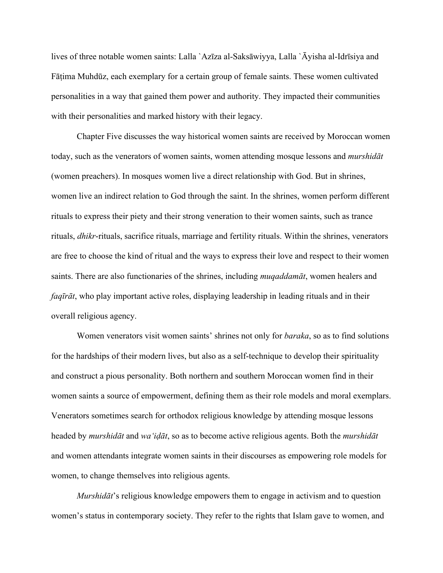lives of three notable women saints: Lalla `Azīza al-Saksāwiyya, Lalla `Āyisha al-Idrīsiya and Fātima Muhdūz, each exemplary for a certain group of female saints. These women cultivated personalities in a way that gained them power and authority. They impacted their communities with their personalities and marked history with their legacy.

Chapter Five discusses the way historical women saints are received by Moroccan women today, such as the venerators of women saints, women attending mosque lessons and *murshidāt* (women preachers). In mosques women live a direct relationship with God. But in shrines, women live an indirect relation to God through the saint. In the shrines, women perform different rituals to express their piety and their strong veneration to their women saints, such as trance rituals, *dhikr*-rituals, sacrifice rituals, marriage and fertility rituals. Within the shrines, venerators are free to choose the kind of ritual and the ways to express their love and respect to their women saints. There are also functionaries of the shrines, including *muqaddamāt*, women healers and *faqīrāt*, who play important active roles, displaying leadership in leading rituals and in their overall religious agency.

Women venerators visit women saints' shrines not only for *baraka*, so as to find solutions for the hardships of their modern lives, but also as a self-technique to develop their spirituality and construct a pious personality. Both northern and southern Moroccan women find in their women saints a source of empowerment, defining them as their role models and moral exemplars. Venerators sometimes search for orthodox religious knowledge by attending mosque lessons headed by *murshidāt* and *waʻiḍāt*, so as to become active religious agents. Both the *murshidāt* and women attendants integrate women saints in their discourses as empowering role models for women, to change themselves into religious agents.

*Murshidāt*'s religious knowledge empowers them to engage in activism and to question women's status in contemporary society. They refer to the rights that Islam gave to women, and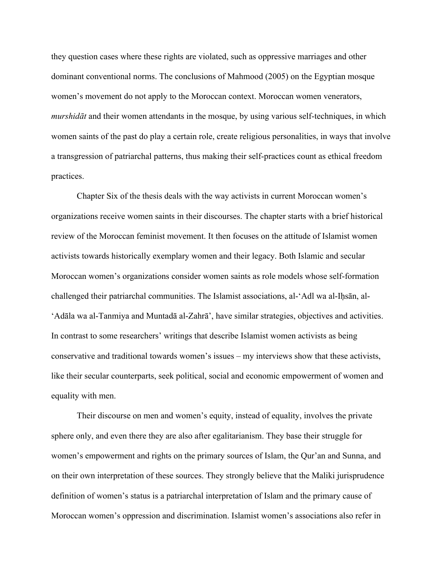they question cases where these rights are violated, such as oppressive marriages and other dominant conventional norms. The conclusions of Mahmood (2005) on the Egyptian mosque women's movement do not apply to the Moroccan context. Moroccan women venerators, *murshidāt* and their women attendants in the mosque, by using various self-techniques, in which women saints of the past do play a certain role, create religious personalities, in ways that involve a transgression of patriarchal patterns, thus making their self-practices count as ethical freedom practices.

Chapter Six of the thesis deals with the way activists in current Moroccan women's organizations receive women saints in their discourses. The chapter starts with a brief historical review of the Moroccan feminist movement. It then focuses on the attitude of Islamist women activists towards historically exemplary women and their legacy. Both Islamic and secular Moroccan women's organizations consider women saints as role models whose self-formation challenged their patriarchal communities. The Islamist associations, al-'Adl wa al-Iḥsān, al- 'Adāla wa al-Tanmiya and Muntadā al-Zahrā', have similar strategies, objectives and activities. In contrast to some researchers' writings that describe Islamist women activists as being conservative and traditional towards women's issues – my interviews show that these activists, like their secular counterparts, seek political, social and economic empowerment of women and equality with men.

Their discourse on men and women's equity, instead of equality, involves the private sphere only, and even there they are also after egalitarianism. They base their struggle for women's empowerment and rights on the primary sources of Islam, the Qur'an and Sunna, and on their own interpretation of these sources. They strongly believe that the Maliki jurisprudence definition of women's status is a patriarchal interpretation of Islam and the primary cause of Moroccan women's oppression and discrimination. Islamist women's associations also refer in